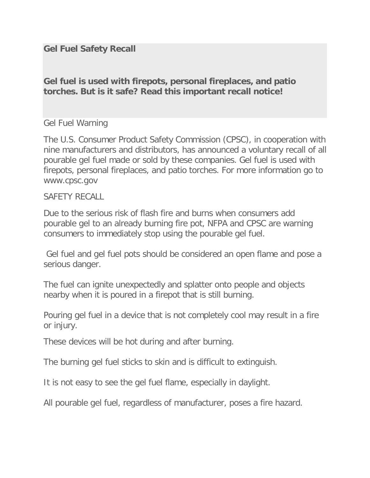## **Gel Fuel Safety Recall**

**Gel fuel is used with firepots, personal fireplaces, and patio torches. But is it safe? Read this important recall notice!**

## Gel Fuel Warning

The U.S. Consumer Product Safety Commission (CPSC), in cooperation with nine manufacturers and distributors, has announced a voluntary recall of all pourable gel fuel made or sold by these companies. Gel fuel is used with firepots, personal fireplaces, and patio torches. For more information go to www.cpsc.gov

## SAFFTY RFCALL

Due to the serious risk of flash fire and burns when consumers add pourable gel to an already burning fire pot, NFPA and CPSC are warning consumers to immediately stop using the pourable gel fuel.

Gel fuel and gel fuel pots should be considered an open flame and pose a serious danger.

The fuel can ignite unexpectedly and splatter onto people and objects nearby when it is poured in a firepot that is still burning.

Pouring gel fuel in a device that is not completely cool may result in a fire or injury.

These devices will be hot during and after burning.

The burning gel fuel sticks to skin and is difficult to extinguish.

It is not easy to see the gel fuel flame, especially in daylight.

All pourable gel fuel, regardless of manufacturer, poses a fire hazard.